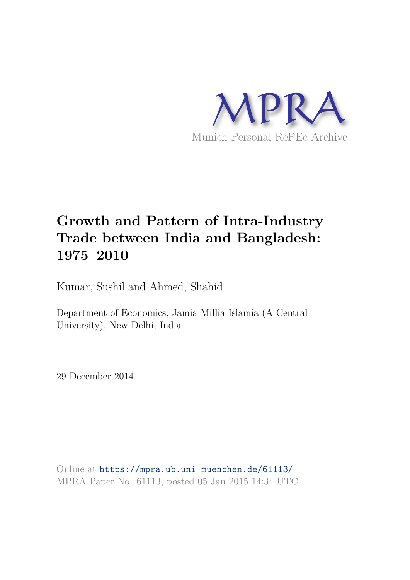

# **Growth and Pattern of Intra-Industry Trade between India and Bangladesh: 1975–2010**

Kumar, Sushil and Ahmed, Shahid

Department of Economics, Jamia Millia Islamia (A Central University), New Delhi, India

29 December 2014

Online at https://mpra.ub.uni-muenchen.de/61113/ MPRA Paper No. 61113, posted 05 Jan 2015 14:34 UTC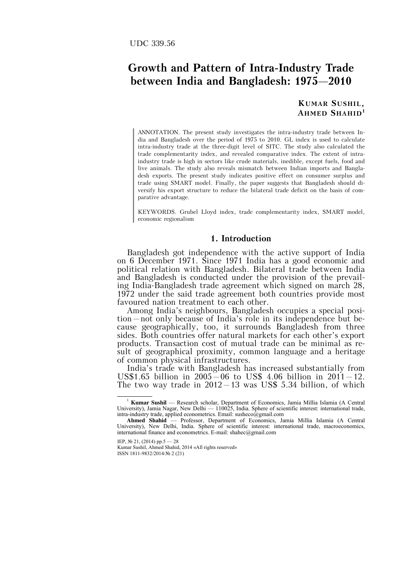# **Growth and Pattern of Intra-Industry Trade between India and Bangladesh: 1975–2010**

**KUMAR SUSHIL, AHMED SHAHID<sup>1</sup>**

ANNOTATION. The present study investigates the intra-industry trade between India and Bangladesh over the period of 1975 to 2010. GL index is used to calculate intra-industry trade at the three-digit level of SITC. The study also calculated the trade complementarity index, and revealed comparative index. The extent of intraindustry trade is high in sectors like crude materials, inedible, except fuels, food and live animals. The study also reveals mismatch between Indian imports and Bangladesh exports. The present study indicates positive effect on consumer surplus and trade using SMART model. Finally, the paper suggests that Bangladesh should diversify his export structure to reduce the bilateral trade deficit on the basis of comparative advantage.

KEYWORDS. Grubel Lloyd index, trade complementarity index, SMART model, economic regionalism

#### **1. Introduction**

Bangladesh got independence with the active support of India on 6 December 1971. Since 1971 India has a good economic and political relation with Bangladesh. Bilateral trade between India and Bangladesh is conducted under the provision of the prevailing India-Bangladesh trade agreement which signed on march 28, 1972 under the said trade agreement both countries provide most favoured nation treatment to each other.

Among India's neighbours, Bangladesh occupies a special position–not only because of India's role in its independence but because geographically, too, it surrounds Bangladesh from three sides. Both countries offer natural markets for each other's export products. Transaction cost of mutual trade can be minimal as result of geographical proximity, common language and a heritage of common physical infrastructures.

India's trade with Bangladesh has increased substantially from US\$1.65 billion in  $2005-06$  to US\$ 4.06 billion in  $2011-12$ . The two way trade in  $2012-13$  was US\$ 5.34 billion, of which

<sup>1</sup> **Kumar Sushil** — Research scholar, Department of Economics, Jamia Millia Islamia (A Central University), Jamia Nagar, New Delhi — 110025, India. Sphere of scientific interest: international trade, intra-industry trade, applied econometrics. Email: susheco@gmail.com **Ahmed Shahid** — Professor, Department of Economics, Jamia Millia Islamia (A Central

University), New Delhi, India. Sphere of scientific interest: international trade, macroeconomics, international finance and econometrics. E-mail: shahec@gmail.com

IEP, № 21, (2014) pp.5 — 28

Kumar Sushil, Ahmed Shahid, 2014 «All rights reserved» ISSN 1811-9832/2014/№ 2 (21)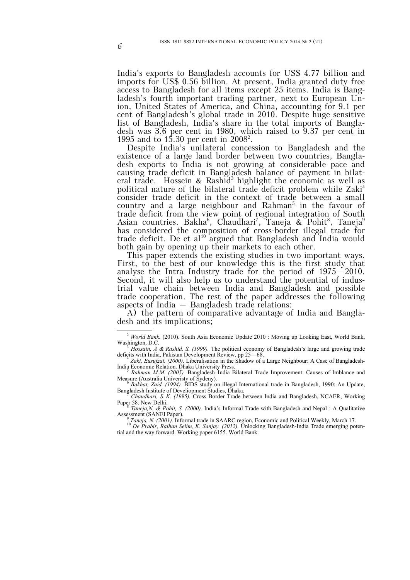India's exports to Bangladesh accounts for US\$ 4.77 billion and imports for US\$ 0.56 billion. At present, India granted duty free access to Bangladesh for all items except 25 items. India is Bangladesh's fourth important trading partner, next to European Union, United States of America, and China, accounting for 9.1 per cent of Bangladesh's global trade in 2010. Despite huge sensitive list of Bangladesh, India's share in the total imports of Bangladesh was 3.6 per cent in 1980, which raised to  $9.37$  per cent in 1995 and to 15.30 per cent in 2008<sup>2</sup>.

Despite India's unilateral concession to Bangladesh and the existence of a large land border between two countries, Bangladesh exports to India is not growing at considerable pace and causing trade deficit in Bangladesh balance of payment in bilateral trade. Hossein & Rashid<sup>3</sup> highlight the economic as well as political nature of the bilateral trade deficit problem while Zaki<sup>4</sup> consider trade deficit in the context of trade between a small country and a large neighbour and Rahman<sup>5</sup> in the favour of trade deficit from the view point of regional integration of South Asian countries. Bakha<sup>6</sup>, Chaudhari<sup>7</sup>, Taneja & Pohit<sup>8</sup>, Taneja<sup>9</sup> has considered the composition of cross-border illegal trade for trade deficit. De et al<sup>10</sup> argued that Bangladesh and India would both gain by opening up their markets to each other.

This paper extends the existing studies in two important ways. First, to the best of our knowledge this is the first study that analyse the Intra Industry trade for the period of 1975–2010. Second, it will also help us to understand the potential of industrial value chain between India and Bangladesh and possible trade cooperation. The rest of the paper addresses the following aspects of India – Bangladesh trade relations:

A) the pattern of comparative advantage of India and Bangladesh and its implications;

Paper 58. New Delhi.<br> $R_{B}P_{\text{R}}$ *Taneja,N. & Pohit, S. (2000).* India's Informal Trade with Bangladesh and Nepal : A Qualitative

Assessment (SANEI Paper).

<sup>9</sup> Taneja, N. (2001). Informal trade in SAARC region, Economic and Political Weekly, March 17.<br><sup>10</sup> De Prabir, Raihan Selim, K. Sanjay. (2012). Unlocking Bangladesh-India Trade emerging potential and the way forward. Working paper 6155. World Bank.

 $\overline{a}$ <sup>2</sup> World Bank. (2010). South Asia Economic Update 2010 : Moving up Looking East, World Bank, Washington, D.C.

<sup>3</sup> *Hossain, A & Rashid, S. (1999).* The political economy of Bangladesh's large and growing trade deficits with India, Pakistan Development Review, pp 25—68. 4 *Zaki, Eusufzai. (2000).* Liberalisation in the Shadow of a Large Neighbour: A Case of Bangladesh-

India Economic Relation. Dhaka University Press.<br>
<u>5</u> Bahman MM (2005), Bongladesh India E

*Rahman M.M. (2005).* Bangladesh–India Bilateral Trade Improvement: Causes of Imblance and Measure (Australia University of Sydeny).<br>  $\frac{6}{5}$  *Bakkat*, Zaid, (1004). BIDS study of

*Bakhat, Zaid. (1994).* BIDS study on illegal International trade in Bangladesh, 1990: An Update, Bangladesh Institute of Develiopment Studies, Dhaka. <sup>7</sup> *Chaudhari, S. K. (1995).* Cross Border Trade between India and Bangladesh, NCAER, Working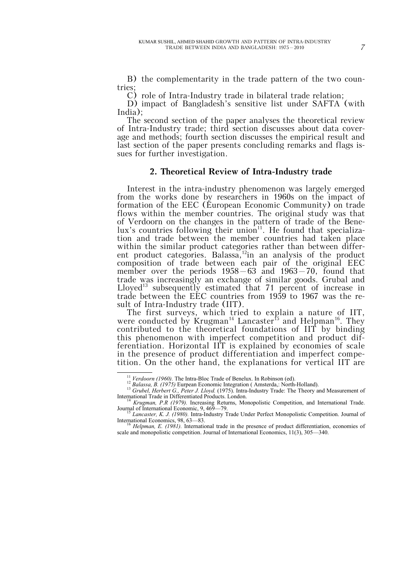B) the complementarity in the trade pattern of the two countries;

C) role of Intra-Industry trade in bilateral trade relation;

D) impact of Bangladesh's sensitive list under SAFTA (with India);

The second section of the paper analyses the theoretical review of Intra-Industry trade; third section discusses about data coverage and methods; fourth section discusses the empirical result and last section of the paper presents concluding remarks and flags issues for further investigation.

#### **2. Theoretical Review of Intra-Industry trade**

Interest in the intra-industry phenomenon was largely emerged from the works done by researchers in 1960s on the impact of formation of the EEC (European Economic Community) on trade flows within the member countries. The original study was that of Verdoorn on the changes in the pattern of trade of the Benelux's countries following their union<sup>11</sup>. He found that specialization and trade between the member countries had taken place within the similar product categories rather than between different product categories. Balassa,<sup>12</sup>in an analysis of the product composition of trade between each pair of the original EEC member over the periods 1958–63 and 1963–70, found that trade was increasingly an exchange of similar goods. Grubal and Lloyed<sup>13</sup> subsequently estimated that 71 percent of increase in trade between the EEC countries from 1959 to 1967 was the result of Intra-Industry trade (IIT).

The first surveys, which tried to explain a nature of IIT, were conducted by Krugman<sup>14</sup> Lancaster<sup>f5</sup> and Helpman<sup>16</sup>. They contributed to the theoretical foundations of IIT by binding this phenomenon with imperfect competition and product differentiation. Horizontal IIT is explained by economies of scale in the presence of product differentiation and imperfect competition. On the other hand, the explanations for vertical IIT are

<sup>&</sup>lt;sup>11</sup> *Verdoorn (1960)*. The Intra-Bloc Trade of Benelux. In Robinson (ed).

<sup>&</sup>lt;sup>12</sup> *Balassa, B. (1975)* Eurpean Economic Integration (Amsterda,: North-Holland).

<sup>&</sup>lt;sup>13</sup> Grubel, Herbert G., Peter J. Lloyd. (1975). Intra-Industry Trade: The Theory and Measurement of International Trade in Differentiated Products. London.

<sup>&</sup>lt;sup>14</sup> *Krugman, P.R (1979).* Increasing Returns, Monopolistic Competition, and International Trade. Journal of International Economic, 9, 469—79. Lancaster, K. J. (1980). Intra-Industry Trade Under Perfect Monopolistic Competition. Journal of

International Economics, 98, 63—83.

<sup>16</sup> *Helpman, E. (1981).* International trade in the presence of product differentiation, economies of scale and monopolistic competition. Journal of International Economics, 11(3), 305—340.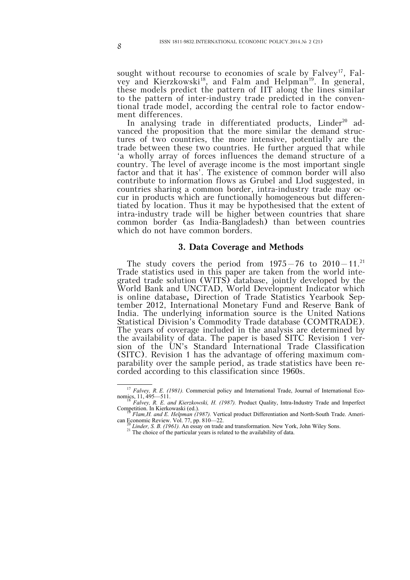sought without recourse to economies of scale by  $Falvev^{17}$ . Falvey and Kierzkowski<sup>18</sup>, and Falm and Helpman<sup>19</sup>. In general, these models predict the pattern of IIT along the lines similar to the pattern of inter-industry trade predicted in the conventional trade model, according the central role to factor endowment differences.

In analysing trade in differentiated products, Linder<sup>20</sup> advanced the proposition that the more similar the demand structures of two countries, the more intensive, potentially are the trade between these two countries. He further argued that while 'a wholly array of forces influences the demand structure of a country. The level of average income is the most important single factor and that it has'. The existence of common border will also contribute to information flows as Grubel and Llod suggested, in countries sharing a common border, intra-industry trade may occur in products which are functionally homogeneous but differentiated by location. Thus it may be hypothesised that the extent of intra-industry trade will be higher between countries that share common border (as India-Bangladesh) than between countries which do not have common borders.

#### **3. Data Coverage and Methods**

The study covers the period from  $1975-76$  to  $2010-11$ .<sup>21</sup> Trade statistics used in this paper are taken from the world integrated trade solution (WITS) database, jointly developed by the World Bank and UNCTAD, World Development Indicator which is online database**,** Direction of Trade Statistics Yearbook September 2012, International Monetary Fund and Reserve Bank of India. The underlying information source is the United Nations Statistical Division's Commodity Trade database (COMTRADE). The years of coverage included in the analysis are determined by the availability of data. The paper is based SITC Revision 1 version of the UN's Standard International Trade Classification (SITC). Revision 1 has the advantage of offering maximum comparability over the sample period, as trade statistics have been recorded according to this classification since 1960s.

 $\overline{a}$ <sup>17</sup> *Falvey, R. E. (1981).* Commercial policy and International Trade, Journal of International Economics, 11, 495—511. <sup>18</sup> *Falvey, R. E. and Kierzkowski, H. (1987).* Product Quality, Intra-Industry Trade and Imperfect

Competition. In Kierkowaski (ed.). <sup>19</sup> *Flam,H. and E. Helpman (1987).* Vertical product Differentiation and North-South Trade. Ameri-

can Economic Review. Vol. 77, pp. 810—22. <sup>20</sup> *Linder, S. B. (1961).* An essay on trade and transformation. New York, John Wiley Sons.

<sup>21</sup> *Linuer*, S. D.  $(1201)$ . An essay on time the americans of the availability of data.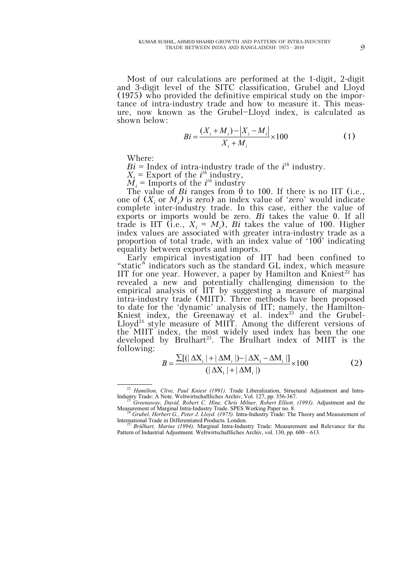Most of our calculations are performed at the 1-digit, 2-digit and 3-digit level of the SITC classification, Grubel and Lloyd (1975) who provided the definitive empirical study on the importance of intra-industry trade and how to measure it. This measure, now known as the Grubel—Lloyd index, is calculated as shown below:

$$
Bi = \frac{(X_i + M_i) - |X_i - M_i|}{X_i + M_i} \times 100
$$
 (1)

Where:

 $\overline{a}$ 

 $Bi =$  Index of intra-industry trade of the  $i^{th}$  industry.

 $X_i$  = Export of the *i*<sup>th</sup> industry,

 $\overline{M}_i$  = Imports of the *i*<sup>th</sup> industry

The value of *Bi* ranges from 0 to 100. If there is no IIT (i.e., one of  $(X_i \text{ or } M_i)$  is zero) an index value of 'zero' would indicate complete inter-industry trade. In this case, either the value of exports or imports would be zero. *Bi* takes the value 0. If all trade is IIT (i.e.,  $X_i = M_i$ ), *Bi* takes the value of 100. Higher index values are associated with greater intra-industry trade as a proportion of total trade, with an index value of '100' indicating equality between exports and imports.

Early empirical investigation of IIT had been confined to "static" indicators such as the standard GL index, which measure IIT for one year. However, a paper by Hamilton and Kniest<sup>22</sup> has revealed a new and potentially challenging dimension to the empirical analysis of IIT by suggesting a measure of marginal intra-industry trade (MIIT). Three methods have been proposed to date for the 'dynamic' analysis of IIT; namely, the Hamilton-Kniest index, the Greenaway et al. index $23$  and the Grubel-Lloyd<sup>24</sup> style measure of MIIT. Among the different versions of the MIIT index, the most widely used index has been the one developed by Brulhart<sup>25</sup>. The Brulhart index of MIIT is the following:

$$
B = \frac{\sum [(\vert \Delta \mathbf{X}_{i} \vert + \vert \Delta \mathbf{M}_{i} \vert) - \vert \Delta \mathbf{X}_{i} - \Delta \mathbf{M}_{i} \vert]}{(\vert \Delta \mathbf{X}_{i} \vert + \vert \Delta \mathbf{M}_{i} \vert)} \times 100
$$
 (2)

<sup>22</sup> *Hamilton, Clive, Paul Kniest (1991).* Trade Liberalization, Structural Adjustment and Intra-Industry Trade: A Note. Weltwirtschaftliches Archiv, Vol. 127, pp. 356-367. <sup>23</sup> *Greenaway, David, Robert C. Hine, Chris Milner, Robert Elliott. (1993).* Adjustment and the

Measurement of Marginal Intra-Industry Trade. SPES Working Paper no. 8. <sup>24</sup> *Grubel, Herbert G., Peter J. Lloyd. (1975).* Intra-Industry Trade: The Theory and Measurement of

International Trade in Differentiated Products. London.

<sup>25</sup> *Brülhart, Marius (1994).* Marginal Intra-Industry Trade: Measurement and Relevance for the Pattern of Industrial Adjustment. Weltwirtschaftliches Archiv, vol. 130, pp. 600—613.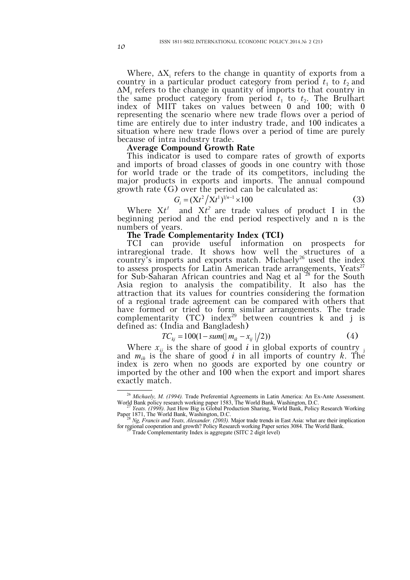Where,  $\Delta X_i$  refers to the change in quantity of exports from a country in a particular product category from period  $t_1$  to  $t_2$  and ΔM*<sup>i</sup>* refers to the change in quantity of imports to that country in the same product category from period  $t_1$  to  $t_2$ . The Brulhart index of MIIT takes on values between 0 and 100; with 0 representing the scenario where new trade flows over a period of time are entirely due to inter industry trade, and 100 indicates a situation where new trade flows over a period of time are purely because of intra industry trade.

#### **Average Compound Growth Rate**

This indicator is used to compare rates of growth of exports and imports of broad classes of goods in one country with those for world trade or the trade of its competitors, including the major products in exports and imports. The annual compound growth rate (G) over the period can be calculated as:

$$
G_i = (Xt^2/Xt^1)^{1/n-1} \times 100
$$
 (3)

Where  $Xt^1$  and  $Xt^2$  are trade values of product I in the beginning period and the end period respectively and n is the numbers of years.

# **The Trade Complementarity Index (TCI)**

TCI can provide useful information on prospects for intraregional trade. It shows how well the structures of a country's imports and exports match. Michaely<sup>26</sup> used the index to assess prospects for Latin American trade arrangements, Yeats<sup>27</sup> for Sub-Saharan African countries and Nag et al <sup>28</sup> for the South Asia region to analysis the compatibility. It also has the attraction that its values for countries considering the formation of a regional trade agreement can be compared with others that have formed or tried to form similar arrangements. The trade complementarity  $(TC)$  index<sup>29</sup> between countries k and j is defined as: (India and Bangladesh)

$$
TC_{kj} = 100(1 - sum(|m_{ik} - x_{ij}|/2))
$$
 (4)

Where  $x_{ij}$  is the share of good *i* in global exports of country and  $m_{ik}$  is the share of good *i* in all imports of country *k*. The index is zero when no goods are exported by one country or imported by the other and 100 when the export and import shares exactly match.

<sup>26</sup> *Michaely, M. (1994).* Trade Preferential Agreements in Latin America: An Ex-Ante Assessment. World Bank policy research working paper 1583, The World Bank, Washington, D.C. <sup>27</sup> *Yeats. (1998).* Just How Big is Global Production Sharing, World Bank, Policy Research Working

Paper 1871, The World Bank, Washington, D.C. <sup>28</sup> *Ng, Francis and Yeats, Alexander. (2003).* Major trade trends in East Asia: what are their implication

for regional cooperation and growth? Policy Research working Paper series 3084. The World Bank. <sup>29</sup> Trade Complementarity Index is aggregate (SITC 2 digit level)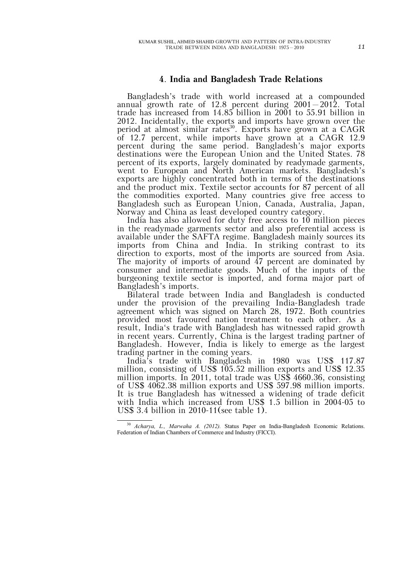# **4**. **India and Bangladesh Trade Relations**

Bangladesh's trade with world increased at a compounded annual growth rate of 12.8 percent during 2001–2012. Total trade has increased from 14.85 billion in 2001 to 55.91 billion in 2012. Incidentally, the exports and imports have grown over the period at almost similar rates<sup>30</sup>. Exports have grown at a CAGR of 12.7 percent, while imports have grown at a CAGR 12.9 percent during the same period. Bangladesh's major exports destinations were the European Union and the United States. 78 percent of its exports, largely dominated by readymade garments, went to European and North American markets. Bangladesh's exports are highly concentrated both in terms of the destinations and the product mix. Textile sector accounts for 87 percent of all the commodities exported. Many countries give free access to Bangladesh such as European Union, Canada, Australia, Japan, Norway and China as least developed country category.

India has also allowed for duty free access to 10 million pieces in the readymade garments sector and also preferential access is available under the SAFTA regime. Bangladesh mainly sources its imports from China and India. In striking contrast to its direction to exports, most of the imports are sourced from Asia. The majority of imports of around  $\overline{47}$  percent are dominated by consumer and intermediate goods. Much of the inputs of the burgeoning textile sector is imported, and forma major part of Bangladesh's imports.

Bilateral trade between India and Bangladesh is conducted under the provision of the prevailing India-Bangladesh trade agreement which was signed on March 28, 1972. Both countries provided most favoured nation treatment to each other. As a result, India's trade with Bangladesh has witnessed rapid growth in recent years. Currently, China is the largest trading partner of Bangladesh. However, India is likely to emerge as the largest trading partner in the coming years.

India's trade with Bangladesh in 1980 was US\$ 117.87 million, consisting of US\$ 105.52 million exports and US\$ 12.35 million imports. In 2011, total trade was US\$ 4660.36, consisting of US\$ 4062.38 million exports and US\$ 597.98 million imports. It is true Bangladesh has witnessed a widening of trade deficit with India which increased from US\$ 1.5 billion in 2004-05 to US\$ 3.4 billion in 2010-11(see table 1).

 $\overline{a}$ <sup>30</sup> *Acharya, L., Marwaha A. (2012).* Status Paper on India-Bangladesh Economic Relations. Federation of Indian Chambers of Commerce and Industry (FICCI).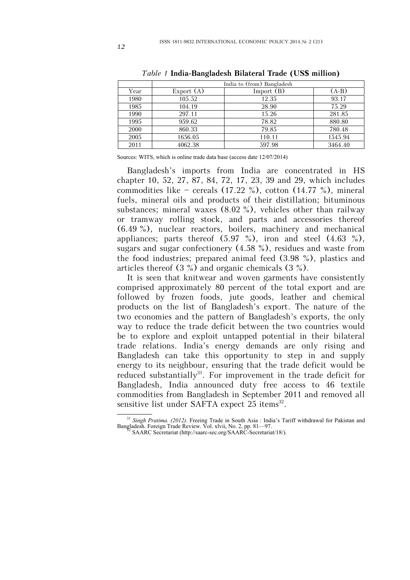|      | India to (from) Bangladesh |              |         |  |  |  |  |  |
|------|----------------------------|--------------|---------|--|--|--|--|--|
| Year | Export $(A)$               | Import $(B)$ | $(A-B)$ |  |  |  |  |  |
| 1980 | 105.52                     | 12.35        | 93.17   |  |  |  |  |  |
| 1985 | 104.19                     | 28.90        | 75.29   |  |  |  |  |  |
| 1990 | 297.11                     | 15.26        | 281.85  |  |  |  |  |  |
| 1995 | 959.62                     | 78.82        | 880.80  |  |  |  |  |  |
| 2000 | 860.33                     | 79.85        | 780.48  |  |  |  |  |  |
| 2005 | 1656.05                    | 110.11       | 1545.94 |  |  |  |  |  |
| 2011 | 4062.38                    | 597.98       | 3464.40 |  |  |  |  |  |

*Table 1* **India-Bangladesh Bilateral Trade (US\$ million)**

Sources: WITS, which is online trade data base (access date 12/07/2014)

Bangladesh's imports from India are concentrated in HS chapter 10, 52, 27, 87, 84, 72, 17, 23, 39 and 29, which includes commodities like – cereals (17.22 %), cotton (14.77 %), mineral fuels, mineral oils and products of their distillation; bituminous substances; mineral waxes (8.02 %), vehicles other than railway or tramway rolling stock, and parts and accessories thereof (6.49 %), nuclear reactors, boilers, machinery and mechanical appliances; parts thereof  $(5.97 \%)$ , iron and steel  $(4.63 \%)$ , sugars and sugar confectionery (4.58 %), residues and waste from the food industries; prepared animal feed (3.98 %), plastics and articles thereof (3 %) and organic chemicals (3 %).

It is seen that knitwear and woven garments have consistently comprised approximately 80 percent of the total export and are followed by frozen foods, jute goods, leather and chemical products on the list of Bangladesh's export. The nature of the two economies and the pattern of Bangladesh's exports, the only way to reduce the trade deficit between the two countries would be to explore and exploit untapped potential in their bilateral trade relations. India's energy demands are only rising and Bangladesh can take this opportunity to step in and supply energy to its neighbour, ensuring that the trade deficit would be reduced substantially<sup>31</sup>. For improvement in the trade deficit for Bangladesh, India announced duty free access to 46 textile commodities from Bangladesh in September 2011 and removed all sensitive list under SAFTA expect  $25$  items<sup>32</sup>.

<sup>&</sup>lt;sup>31</sup> Singh Pratima. (2012). Freeing Trade in South Asia : India's Tariff withdrawal for Pakistan and Bangladesh. Foreign Trade Review. Vol. xlvii, No. 2, pp. 81—97.

<sup>32</sup> SAARC Secretariat (http://saarc-sec.org/SAARC-Secretariat/18/).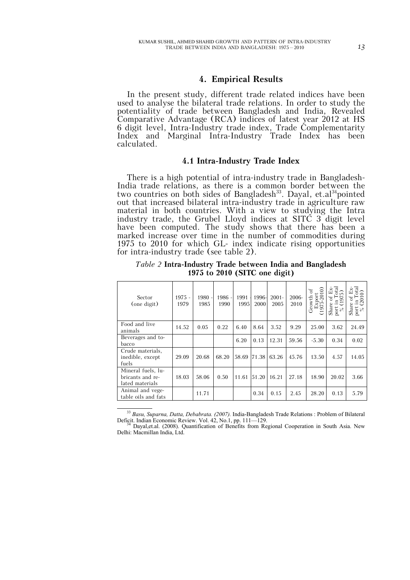In the present study, different trade related indices have been used to analyse the bilateral trade relations. In order to study the potentiality of trade between Bangladesh and India, Revealed Comparative Advantage (RCA) indices of latest year 2012 at HS 6 digit level, Intra-Industry trade index, Trade Complementarity Index and Marginal Intra-Industry Trade Index has been calculated.

#### **4.1 Intra-Industry Trade Index**

There is a high potential of intra-industry trade in Bangladesh-India trade relations, as there is a common border between the two countries on both sides of Bangladesh<sup>33</sup>. Dayal, et.al<sup>34</sup>pointed out that increased bilateral intra-industry trade in agriculture raw material in both countries. With a view to studying the Intra industry trade, the Grubel Lloyd indices at SITC  $3^{\circ}$  digit level have been computed. The study shows that there has been a marked increase over time in the number of commodities during 1975 to 2010 for which GL- index indicate rising opportunities for intra-industry trade (see table 2).

| Sector<br>(one digit)                                     | $1975 -$<br>1979 | $1980 -$<br>1985 | $1986 -$<br>1990 | 1991<br>1995 | 1996-<br>2000 | $2001 -$<br>2005 | $2006 -$<br>2010 | $-2010$<br>Export<br>(1975-2010<br>Growth | otal<br>$_{\rm EX}$<br>ď<br>Share<br>port | otal<br>ĚX<br>ਨ<br>G<br>Share<br>port<br>$\geqslant$ |
|-----------------------------------------------------------|------------------|------------------|------------------|--------------|---------------|------------------|------------------|-------------------------------------------|-------------------------------------------|------------------------------------------------------|
| Food and live<br>animals                                  | 14.52            | 0.05             | 0.22             | 6.40         | 8.64          | 3.52             | 9.29             | 25.00                                     | 3.62                                      | 24.49                                                |
| Beverages and to-<br>bacco                                |                  |                  |                  | 6.20         | 0.13          | 12.31            | 59.56            | $-5.30$                                   | 0.34                                      | 0.02                                                 |
| Crude materials,<br>inedible, except<br>fuels             | 29.09            | 20.68            | 68.20            | 58.69        | 71.38         | 63.26            | 45.76            | 13.50                                     | 4.57                                      | 14.05                                                |
| Mineral fuels, lu-<br>bricants and re-<br>lated materials | 18.03            | 58.06            | 0.50             | 11.61        | 51.20         | 16.21            | 27.18            | 18.90                                     | 20.02                                     | 3.66                                                 |
| Animal and vege-<br>table oils and fats                   |                  | 11.71            |                  |              | 0.34          | 0.15             | 2.45             | 28.20                                     | 0.13                                      | 5.79                                                 |

*Table 2* **Intra-Industry Trade between India and Bangladesh 1975 to 2010 (SITC one digit)**

<sup>33</sup> *Basu, Suparna, Datta, Debabrata. (2007).* India-Bangladesh Trade Relations : Problem of Bilateral Deficit. Indian Economic Review. Vol. 42, No.1, pp. 111—129.

Dayal,et.al. (2008). Quantification of Benefits from Regional Cooperation in South Asia. New Delhi: Macmillan India, Ltd.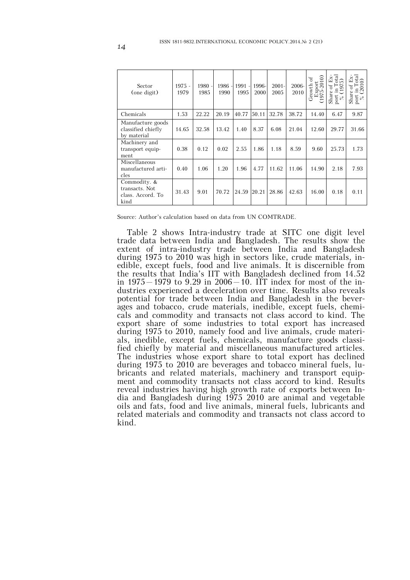| Sector<br>(one digit)                                       | $1975 -$<br>1979 | $1980 -$<br>1985 | 1986<br>1990 | $1991 -$<br>1995 | 1996-<br>2000 | $2001 -$<br>2005 | 2006-<br>2010 | $-2010$<br>ð<br>110dx7<br>Growth<br>1975 | otal<br>$E_{\rm X}$<br>ີ<br>đ<br>Share<br>port | $\det_{0}$<br>$\mathbb{E}\mathbf{x}$<br>đ<br>$\frac{1}{201}$<br>Share<br>port |
|-------------------------------------------------------------|------------------|------------------|--------------|------------------|---------------|------------------|---------------|------------------------------------------|------------------------------------------------|-------------------------------------------------------------------------------|
| Chemicals                                                   | 1.53             | 22.22            | 20.19        | 40.77            | 50.11         | 32.78            | 38.72         | 14.40                                    | 6.47                                           | 9.87                                                                          |
| Manufacture goods<br>classified chiefly<br>by material      | 14.65            | 32.58            | 13.42        | 1.40             | 8.37          | 6.08             | 21.04         | 12.60                                    | 29.77                                          | 31.66                                                                         |
| Machinery and<br>transport equip-<br>ment                   | 0.38             | 0.12             | 0.02         | 2.55             | 1.86          | 1.18             | 8.59          | 9.60                                     | 25.73                                          | 1.73                                                                          |
| Miscellaneous<br>manufactured arti-<br>cles                 | 0.40             | 1.06             | 1.20         | 1.96             | 4.77          | 11.62            | 11.06         | 14.90                                    | 2.18                                           | 7.93                                                                          |
| Commodity. &<br>transacts. Not<br>class. Accord. To<br>kind | 31.43            | 9.01             | 70.72        | 24.59            | 20.21         | 28.86            | 42.63         | 16.00                                    | 0.18                                           | 0.11                                                                          |

Source: Author's calculation based on data from UN COMTRADE.

Table 2 shows Intra-industry trade at SITC one digit level trade data between India and Bangladesh. The results show the extent of intra-industry trade between India and Bangladesh during 1975 to 2010 was high in sectors like, crude materials, inedible, except fuels, food and live animals. It is discernible from the results that India's IIT with Bangladesh declined from 14.52 in  $1975-1979$  to 9.29 in  $2006-10$ . IIT index for most of the industries experienced a deceleration over time. Results also reveals potential for trade between India and Bangladesh in the beverages and tobacco, crude materials, inedible, except fuels, chemicals and commodity and transacts not class accord to kind. The export share of some industries to total export has increased during 1975 to 2010, namely food and live animals, crude materials, inedible, except fuels, chemicals, manufacture goods classified chiefly by material and miscellaneous manufactured articles. The industries whose export share to total export has declined during 1975 to 2010 are beverages and tobacco mineral fuels, lubricants and related materials, machinery and transport equipment and commodity transacts not class accord to kind. Results reveal industries having high growth rate of exports between India and Bangladesh during 1975 2010 are animal and vegetable oils and fats, food and live animals, mineral fuels, lubricants and related materials and commodity and transacts not class accord to kind.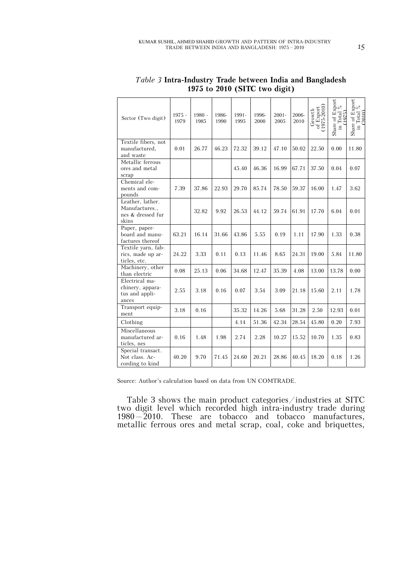| Sector (Two digit)                                               | 1975 -<br>1979 | $1980 -$<br>1985 | 1986-<br>1990 | 1991-<br>1995 | 1996-<br>2000 | $2001 -$<br>2005 | 2006-<br>2010 | of Export<br>(1975-2010)<br>Growth | Share of Export<br>in Total $\frac{\%}{\%}$ | Share of Export<br>in Total $\frac{\%}{\%}$ |
|------------------------------------------------------------------|----------------|------------------|---------------|---------------|---------------|------------------|---------------|------------------------------------|---------------------------------------------|---------------------------------------------|
| Textile fibers, not<br>manufactured,<br>and waste                | 0.01           | 26.77            | 46.23         | 72.32         | 39.12         | 47.10            | 50.02         | 22.50                              | 0.00                                        | 11.80                                       |
| Metallic ferrous<br>ores and metal<br>scrap                      |                |                  |               | 45.40         | 46.36         | 16.99            | 67.71         | 37.50                              | 0.04                                        | 0.07                                        |
| Chemical ele-<br>ments and com-<br>pounds                        | 7.39           | 37.86            | 22.93         | 29.70         | 85.74         | 78.50            | 59.37         | 16.00                              | 1.47                                        | 3.62                                        |
| Leather, lather.<br>Manufactures.,<br>nes & dressed fur<br>skins |                | 32.82            | 9.92          | 26.53         | 44.12         | 59.74            | 61.91         | 17.70                              | 6.04                                        | 0.01                                        |
| Paper, paper-<br>board and manu-<br>factures thereof             | 63.21          | 16.14            | 31.66         | 43.86         | 5.55          | 0.19             | 1.11          | 17.90                              | 1.33                                        | 0.38                                        |
| Textile yarn, fab-<br>rics, made up ar-<br>ticles, etc.          | 24.22          | 3.33             | 0.11          | 0.13          | 11.46         | 8.65             | 24.31         | 19.00                              | 5.84                                        | 11.80                                       |
| Machinery, other<br>than electric                                | 0.08           | 25.13            | 0.06          | 34.68         | 12.47         | 35.39            | 4.08          | 13.00                              | 13.78                                       | 0.00                                        |
| Electrical ma-<br>chinery, appara-<br>tus and appli-<br>ances    | 2.55           | 3.18             | 0.16          | 0.07          | 3.54          | 3.09             | 21.18         | 15.60                              | 2.11                                        | 1.78                                        |
| Transport equip-<br>ment                                         | 3.18           | 0.16             |               | 35.32         | 14.26         | 5.68             | 31.28         | 2.50                               | 12.93                                       | 0.01                                        |
| Clothing                                                         |                |                  |               | 4.14          | 51.36         | 42.34            | 28.54         | 45.80                              | 0.20                                        | 7.93                                        |
| Miscellaneous<br>manufactured ar-<br>ticles, nes                 | 0.16           | 1.48             | 1.98          | 2.74          | 2.28          | 10.27            | 15.52         | 10.70                              | 1.35                                        | 0.83                                        |
| Special transact.<br>Not class. Ac-<br>cording to kind           | 40.20          | 9.70             | 71.45         | 24.60         | 20.21         | 28.86            | 40.45         | 18.20                              | 0.18                                        | 1.26                                        |

*Table 3* **Intra-Industry Trade between India and Bangladesh 1975 to 2010 (SITC two digit)**

Source: Author's calculation based on data from UN COMTRADE.

Table 3 shows the main product categories/industries at SITC two digit level which recorded high intra-industry trade during 1980–2010. These are tobacco and tobacco manufactures, metallic ferrous ores and metal scrap, coal, coke and briquettes,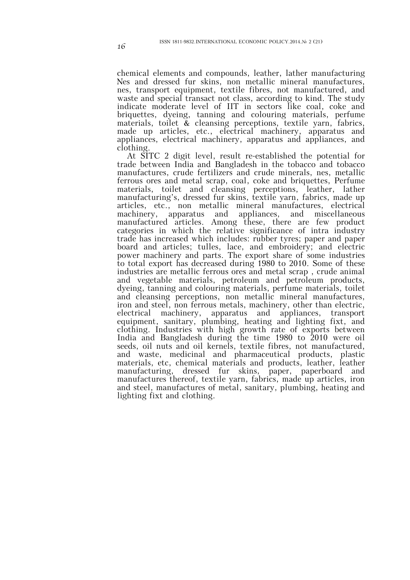chemical elements and compounds, leather, lather manufacturing Nes and dressed fur skins, non metallic mineral manufactures, nes, transport equipment, textile fibres, not manufactured, and waste and special transact not class, according to kind. The study indicate moderate level of IIT in sectors like coal, coke and briquettes, dyeing, tanning and colouring materials, perfume materials, toilet  $\&$  cleansing perceptions, textile yarn, fabrics, made up articles, etc., electrical machinery, apparatus and appliances, electrical machinery, apparatus and appliances, and clothing.

At SITC 2 digit level, result re-established the potential for trade between India and Bangladesh in the tobacco and tobacco manufactures, crude fertilizers and crude minerals, nes, metallic ferrous ores and metal scrap, coal, coke and briquettes, Perfume materials, toilet and cleansing perceptions, leather, lather manufacturing's, dressed fur skins, textile yarn, fabrics, made up articles, etc., non metallic mineral manufactures, electrical and appliances, and miscellaneous manufactured articles. Among these, there are few product categories in which the relative significance of intra industry trade has increased which includes: rubber tyres; paper and paper board and articles; tulles, lace, and embroidery; and electric power machinery and parts. The export share of some industries to total export has decreased during 1980 to 2010. Some of these industries are metallic ferrous ores and metal scrap , crude animal and vegetable materials, petroleum and petroleum products, dyeing, tanning and colouring materials, perfume materials, toilet and cleansing perceptions, non metallic mineral manufactures, iron and steel, non ferrous metals, machinery, other than electric, electrical machinery, apparatus and appliances, transport equipment, sanitary, plumbing, heating and lighting fixt, and clothing. Industries with high growth rate of exports between India and Bangladesh during the time 1980 to 2010 were oil seeds, oil nuts and oil kernels, textile fibres, not manufactured, and waste, medicinal and pharmaceutical products, plastic materials, etc, chemical materials and products, leather, leather manufacturing, dressed fur skins, paper, paperboard and manufactures thereof, textile yarn, fabrics, made up articles, iron and steel, manufactures of metal, sanitary, plumbing, heating and lighting fixt and clothing.

16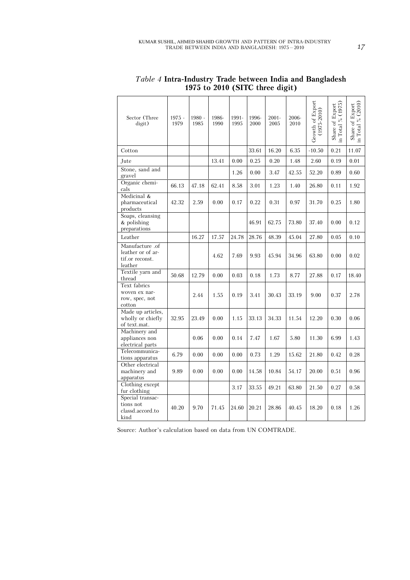| Sector (Three<br>digit)                                            | 1975 -<br>1979 | $1980 -$<br>1985 | 1986-<br>1990 | 1991-<br>1995 | 1996-<br>2000 | $2001 -$<br>2005 | 2006-<br>2010 | Growth of Export<br>$(1975 - 2010)$ | in Total % (1975)<br>Share of Export | (2010)<br>Export<br>in Total %<br>Share of |
|--------------------------------------------------------------------|----------------|------------------|---------------|---------------|---------------|------------------|---------------|-------------------------------------|--------------------------------------|--------------------------------------------|
| Cotton                                                             |                |                  |               |               | 33.61         | 16.20            | 6.35          | $-10.50$                            | 0.21                                 | 11.07                                      |
| Jute                                                               |                |                  | 13.41         | 0.00          | 0.25          | 0.20             | 1.48          | 2.60                                | 0.19                                 | 0.01                                       |
| Stone, sand and<br>gravel                                          |                |                  |               | 1.26          | 0.00          | 3.47             | 42.55         | 52.20                               | 0.89                                 | 0.60                                       |
| Organic chemi-<br>cals                                             | 66.13          | 47.18            | 62.41         | 8.58          | 3.01          | 1.23             | 1.40          | 26.80                               | 0.11                                 | 1.92                                       |
| Medicinal &<br>pharmaceutical<br>products                          | 42.32          | 2.59             | 0.00          | 0.17          | 0.22          | 0.31             | 0.97          | 31.70                               | 0.25                                 | 1.80                                       |
| Soaps, cleansing<br>$&$ polishing<br>preparations                  |                |                  |               |               | 46.91         | 62.75            | 73.80         | 37.40                               | 0.00                                 | 0.12                                       |
| Leather                                                            |                | 16.27            | 17.57         | 24.78         | 28.76         | 48.39            | 45.04         | 27.80                               | 0.05                                 | 0.10                                       |
| Manufacture .of<br>leather or of ar-<br>tif.or reconst.<br>leather |                |                  | 4.62          | 7.69          | 9.93          | 45.94            | 34.96         | 63.80                               | 0.00                                 | 0.02                                       |
| Textile yarn and<br>thread                                         | 50.68          | 12.79            | 0.00          | 0.03          | 0.18          | 1.73             | 8.77          | 27.88                               | 0.17                                 | 18.40                                      |
| Text fabrics<br>woven ex nar-<br>row, spec, not<br>cotton          |                | 2.44             | 1.55          | 0.19          | 3.41          | 30.43            | 33.19         | 9.00                                | 0.37                                 | 2.78                                       |
| Made up articles,<br>wholly or chiefly<br>of text.mat.             | 32.95          | 23.49            | 0.00          | 1.15          | 33.13         | 34.33            | 11.54         | 12.20                               | 0.30                                 | 0.06                                       |
| Machinery and<br>appliances non<br>electrical parts                |                | 0.06             | 0.00          | 0.14          | 7.47          | 1.67             | 5.80          | 11.30                               | 6.99                                 | 1.43                                       |
| Telecommunica-<br>tions apparatus                                  | 6.79           | 0.00             | 0.00          | 0.00          | 0.73          | 1.29             | 15.62         | 21.80                               | 0.42                                 | 0.28                                       |
| Other electrical<br>machinery and<br>apparatus                     | 9.89           | 0.00             | 0.00          | 0.00          | 14.58         | 10.84            | 54.17         | 20.00                               | 0.51                                 | 0.96                                       |
| Clothing except<br>fur clothing                                    |                |                  |               | 3.17          | 33.55         | 49.21            | 63.80         | 21.50                               | 0.27                                 | 0.58                                       |
| Special transac-<br>tions not<br>classd.accord.to<br>kind          | 40.20          | 9.70             | 71.45         | 24.60         | 20.21         | 28.86            | 40.45         | 18.20                               | 0.18                                 | 1.26                                       |

*Table 4* **Intra-Industry Trade between India and Bangladesh 1975 to 2010 (SITC three digit)**

Source: Author's calculation based on data from UN COMTRADE.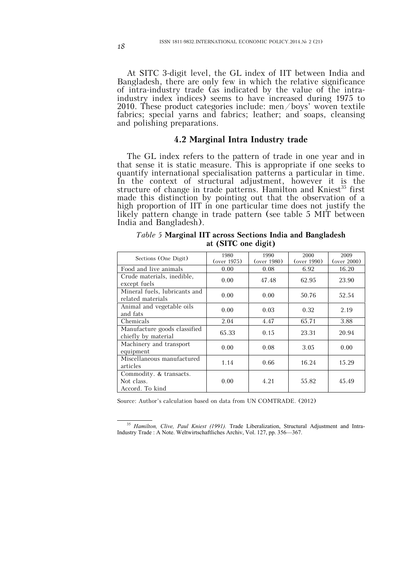At SITC 3-digit level, the GL index of IIT between India and Bangladesh, there are only few in which the relative significance of intra-industry trade (as indicated by the value of the intraindustry index indices) seems to have increased during 1975 to 2010. These product categories include: men/boys' woven textile fabrics; special yarns and fabrics; leather; and soaps, cleansing and polishing preparations.

# **4.2 Marginal Intra Industry trade**

The GL index refers to the pattern of trade in one year and in that sense it is static measure. This is appropriate if one seeks to quantify international specialisation patterns a particular in time. In the context of structural adjustment, however it is the structure of change in trade patterns. Hamilton and Kniest<sup>35</sup> first made this distinction by pointing out that the observation of a high proportion of IIT in one particular time does not justify the likely pattern change in trade pattern (see table 5 MIT between India and Bangladesh).

| Sections (One Digit)                                     | 1980<br>(over 1975) | 1990<br>(over 1980) | 2000<br>(over 1990) | 2009<br>(over 2000) |
|----------------------------------------------------------|---------------------|---------------------|---------------------|---------------------|
| Food and live animals                                    | 0.00                | 0.08                | 6.92                | 16.20               |
| Crude materials, inedible,<br>except fuels               | 0.00                | 47.48               | 62.95               | 23.90               |
| Mineral fuels, lubricants and<br>related materials       | 0.00                | 0.00                | 50.76               | 52.54               |
| Animal and vegetable oils<br>and fats                    | 0.00                | 0.03                | 0.32                | 2.19                |
| Chemicals                                                | 2.04                | 4.47                | 65.71               | 3.88                |
| Manufacture goods classified<br>chiefly by material      | 65.33               | 0.15                | 23.31               | 20.94               |
| Machinery and transport<br>equipment                     | 0.00                | 0.08                | 3.05                | 0.00                |
| Miscellaneous manufactured<br>articles                   | 1.14                | 0.66                | 16.24               | 15.29               |
| Commodity. & transacts.<br>Not class.<br>Accord. To kind | 0.00                | 4.21                | 55.82               | 45.49               |

*Table 5* **Marginal IIT across Sections India and Bangladesh at (SITC one digit)**

Source: Author's calculation based on data from UN COMTRADE. (2012)

 $\overline{a}$ <sup>35</sup> *Hamilton, Clive, Paul Kniest (1991).* Trade Liberalization, Structural Adjustment and Intra-Industry Trade : A Note. Weltwirtschaftliches Archiv, Vol. 127, pp. 356—367.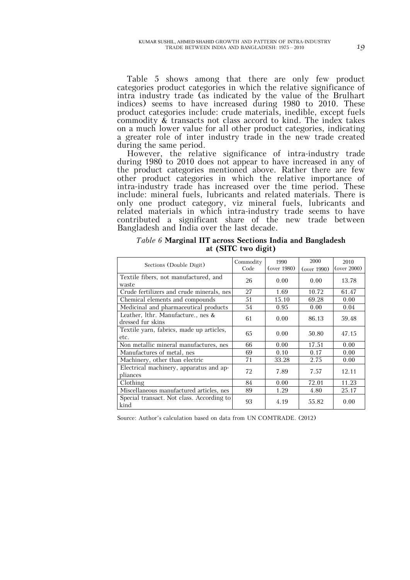Table 5 shows among that there are only few product categories product categories in which the relative significance of intra industry trade (as indicated by the value of the Brulhart indices) seems to have increased during 1980 to 2010. These product categories include: crude materials, inedible, except fuels commodity  $\&$  transacts not class accord to kind. The index takes on a much lower value for all other product categories, indicating a greater role of inter industry trade in the new trade created during the same period.

However, the relative significance of intra-industry trade during 1980 to 2010 does not appear to have increased in any of the product categories mentioned above. Rather there are few other product categories in which the relative importance of intra-industry trade has increased over the time period. These include: mineral fuels, lubricants and related materials. There is only one product category, viz mineral fuels, lubricants and related materials in which intra-industry trade seems to have contributed a significant share of the new trade between Bangladesh and India over the last decade.

| Sections (Double Digit)                                    | Commodity<br>Code | 1990<br>(over 1980) | 2000<br>(over 1990) | 2010<br>(over 2000) |
|------------------------------------------------------------|-------------------|---------------------|---------------------|---------------------|
| Textile fibers, not manufactured, and<br>waste             | 26                | 0.00                | 0.00                | 13.78               |
| Crude fertilizers and crude minerals, nes                  | 27                | 1.69                | 10.72               | 61.47               |
| Chemical elements and compounds                            | 51                | 15.10               | 69.28               | 0.00                |
| Medicinal and pharmaceutical products                      | 54                | 0.95                | 0.00                | 0.04                |
| Leather, lthr. Manufacture., nes $\&$<br>dressed fur skins | 61                | 0.00                | 86.13               | 59.48               |
| Textile yarn, fabrics, made up articles,<br>etc.           | 65                | 0.00                | 50.80               | 47.15               |
| Non metallic mineral manufactures, nes                     | 66                | 0.00                | 17.51               | 0.00                |
| Manufactures of metal, nes                                 | 69                | 0.10                | 0.17                | 0.00                |
| Machinery, other than electric                             | 71                | 33.28               | 2.75                | 0.00                |
| Electrical machinery, apparatus and ap-<br>pliances        | 72                | 7.89                | 7.57                | 12.11               |
| Clothing                                                   | 84                | 0.00                | 72.01               | 11.23               |
| Miscellaneous manufactured articles, nes                   | 89                | 1.29                | 4.80                | 25.17               |
| Special transact. Not class. According to<br>kind          | 93                | 4.19                | 55.82               | 0.00                |

*Table 6* **Marginal IIT across Sections India and Bangladesh at (SITC two digit)**

Source: Author's calculation based on data from UN COMTRADE. (2012)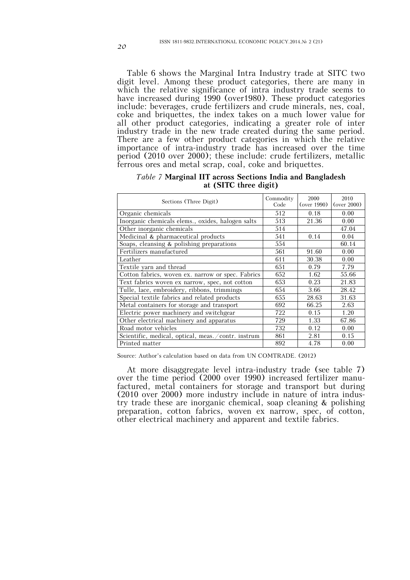Table 6 shows the Marginal Intra Industry trade at SITC two digit level. Among these product categories, there are many in which the relative significance of intra industry trade seems to have increased during 1990 (over 1980). These product categories include: beverages, crude fertilizers and crude minerals, nes, coal, coke and briquettes, the index takes on a much lower value for all other product categories, indicating a greater role of inter industry trade in the new trade created during the same period. There are a few other product categories in which the relative importance of intra-industry trade has increased over the time period (2010 over 2000); these include: crude fertilizers, metallic ferrous ores and metal scrap, coal, coke and briquettes.

| Sections (Three Digit)                             | Commodity<br>Code | 2000<br>(over 1990) | 2010<br>(over 2000) |
|----------------------------------------------------|-------------------|---------------------|---------------------|
| Organic chemicals                                  | 512               | 0.18                | 0.00                |
| Inorganic chemicals elems., oxides, halogen salts  | 513               | 21.36               | 0.00                |
| Other inorganic chemicals                          | 514               |                     | 47.04               |
| Medicinal & pharmaceutical products                | 541               | 0.14                | 0.04                |
| Soaps, cleansing $&$ polishing preparations        | 554               |                     | 60.14               |
| Fertilizers manufactured                           | 561               | 91.60               | 0.00                |
| Leather                                            | 611               | 30.38               | 0.00                |
| Textile yarn and thread                            | 651               | 0.79                | 7.79                |
| Cotton fabrics, woven ex. narrow or spec. Fabrics  | 652               | 1.62                | 55.66               |
| Text fabrics woven ex narrow, spec, not cotton     | 653               | 0.23                | 21.83               |
| Tulle, lace, embroidery, ribbons, trimmings        | 654               | 3.66                | 28.42               |
| Special textile fabrics and related products       | 655               | 28.63               | 31.63               |
| Metal containers for storage and transport         | 692               | 66.25               | 2.63                |
| Electric power machinery and switchgear            | 722               | 0.15                | 1.20                |
| Other electrical machinery and apparatus           | 729               | 1.33                | 67.86               |
| Road motor vehicles                                | 732               | 0.12                | 0.00                |
| Scientific, medical, optical, meas./contr. instrum | 861               | 2.81                | 0.15                |
| Printed matter                                     | 892               | 4.78                | 0.00                |

|  |                       |  | Table 7 Marginal IIT across Sections India and Bangladesh |
|--|-----------------------|--|-----------------------------------------------------------|
|  | at (SITC three digit) |  |                                                           |

Source: Author's calculation based on data from UN COMTRADE. (2012)

At more disaggregate level intra-industry trade (see table 7) over the time period (2000 over 1990) increased fertilizer manufactured, metal containers for storage and transport but during (2010 over 2000) more industry include in nature of intra industry trade these are inorganic chemical, soap cleaning & polishing preparation, cotton fabrics, woven ex narrow, spec, of cotton, other electrical machinery and apparent and textile fabrics.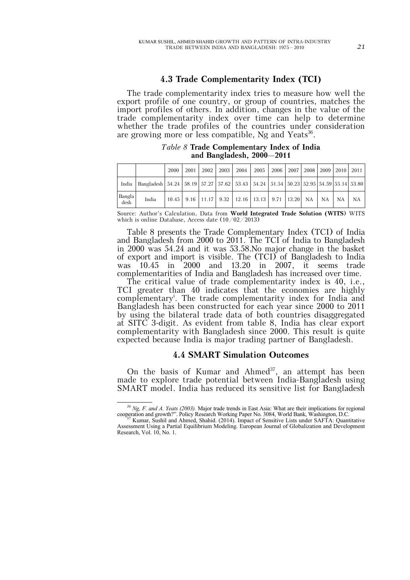### **4.3 Trade Complementarity Index (TCI)**

The trade complementarity index tries to measure how well the export profile of one country, or group of countries, matches the import profiles of others. In addition, changes in the value of the trade complementarity index over time can help to determine whether the trade profiles of the countries under consideration are growing more or less compatible, Ng and Yeats<sup>36</sup>.

*Table 8* **Trade Complementary Index of India and Bangladesh, 2000–2011**

|                |                                                                                                                    | 2000 | 2001 L | 2002 l | 2003 |                                                                           | 2004 2005 |  |  | 2006   2007   2008   2009   2010   2011 |
|----------------|--------------------------------------------------------------------------------------------------------------------|------|--------|--------|------|---------------------------------------------------------------------------|-----------|--|--|-----------------------------------------|
|                | India   Bangladesh   54.24   58.19   57.27   57.62   53.43   54.24   51.54   50.23   52.95   54.59   55.14   53.80 |      |        |        |      |                                                                           |           |  |  |                                         |
| Bangla<br>desh | India                                                                                                              |      |        |        |      | 10.45   9.16   11.17   9.32   12.16   13.13   9.71   13.20   NA   NA   NA |           |  |  | <b>NA</b>                               |

Source: Author's Calculation, Data from **World Integrated Trade Solution (WITS**) WITS which is online Database, Access date (10/02/2013)

Table 8 presents the Trade Complementary Index (TCI) of India and Bangladesh from 2000 to 2011. The TCI of India to Bangladesh in 2000 was 54.24 and it was 53.58.No major change in the basket of export and import is visible. The (TCI) of Bangladesh to India was 10.45 in 2000 and 13.20 in 2007, it seems trade complementarities of India and Bangladesh has increased over time.

The critical value of trade complementarity index is 40, i.e., TCI greater than 40 indicates that the economies are highly complementary<sup>i</sup> . The trade complementarity index for India and Bangladesh has been constructed for each year since 2000 to 2011 by using the bilateral trade data of both countries disaggregated at SITC 3-digit. As evident from table 8, India has clear export complementarity with Bangladesh since 2000. This result is quite expected because India is major trading partner of Bangladesh.

# **4.4 SMART Simulation Outcomes**

On the basis of Kumar and Ahmed $37$ , an attempt has been made to explore trade potential between India-Bangladesh using SMART model. India has reduced its sensitive list for Bangladesh

*<sup>36</sup> Ng, F. and A. Yeats (2003).* Major trade trends in East Asia: What are their implications for regional cooperation and growth?". Policy Research Working Paper No. 3084, World Bank, Washington, D.C. <sup>37</sup> Kumar, Sushil and Ahmed, Shahid. (2014). Impact of Sensitive Lists under SAFTA: Quantitative

Assessment Using a Partial Equilibrium Modeling. European Journal of Globalization and Development Research, Vol. 10, No. 1.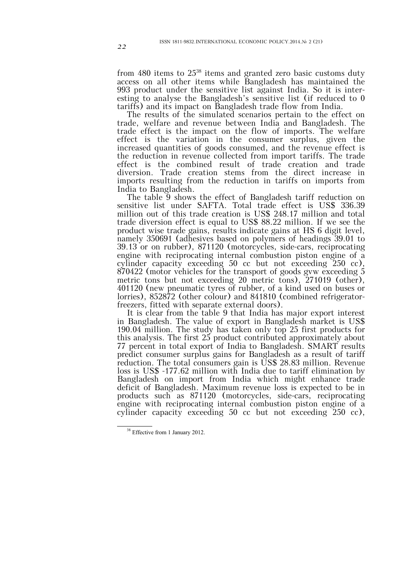from 480 items to  $25^{38}$  items and granted zero basic customs duty access on all other items while Bangladesh has maintained the 993 product under the sensitive list against India. So it is interesting to analyse the Bangladesh's sensitive list (if reduced to 0 tariffs) and its impact on Bangladesh trade flow from India.

The results of the simulated scenarios pertain to the effect on trade, welfare and revenue between India and Bangladesh. The trade effect is the impact on the flow of imports. The welfare effect is the variation in the consumer surplus, given the increased quantities of goods consumed, and the revenue effect is the reduction in revenue collected from import tariffs. The trade effect is the combined result of trade creation and trade diversion. Trade creation stems from the direct increase in imports resulting from the reduction in tariffs on imports from India to Bangladesh.

The table  $\overline{9}$  shows the effect of Bangladesh tariff reduction on sensitive list under SAFTA. Total trade effect is US\$ 336.39 million out of this trade creation is US\$ 248.17 million and total trade diversion effect is equal to US\$ 88.22 million. If we see the product wise trade gains, results indicate gains at HS 6 digit level, namely 350691 (adhesives based on polymers of headings 39.01 to 39.13 or on rubber), 871120 (motorcycles, side-cars, reciprocating engine with reciprocating internal combustion piston engine of a cylinder capacity exceeding 50 cc but not exceeding 250 cc), 870422 (motor vehicles for the transport of goods gvw exceeding 5 metric tons but not exceeding 20 metric tons), 271019 (other), 401120 (new pneumatic tyres of rubber, of a kind used on buses or lorries), 852872 (other colour) and 841810 (combined refrigeratorfreezers, fitted with separate external doors).

It is clear from the table 9 that India has major export interest in Bangladesh. The value of export in Bangladesh market is US\$ 190.04 million. The study has taken only top 25 first products for this analysis. The first 25 product contributed approximately about 77 percent in total export of India to Bangladesh. SMART results predict consumer surplus gains for Bangladesh as a result of tariff reduction. The total consumers gain is US\$ 28.83 million. Revenue loss is US\$ -177.62 million with India due to tariff elimination by Bangladesh on import from India which might enhance trade deficit of Bangladesh. Maximum revenue loss is expected to be in products such as 871120 (motorcycles, side-cars, reciprocating engine with reciprocating internal combustion piston engine of a cylinder capacity exceeding 50 cc but not exceeding 250 cc),

<sup>&</sup>lt;sup>38</sup> Effective from 1 January 2012.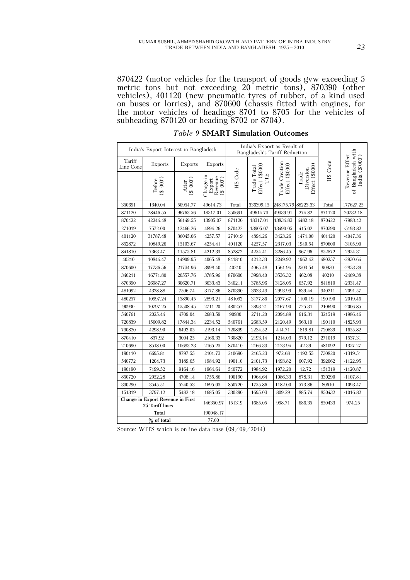870422 (motor vehicles for the transport of goods gvw exceeding 5 metric tons but not exceeding 20 metric tons), 870390 (other vehicles), 401120 (new pneumatic tyres of rubber, of a kind used on buses or lorries), and 870600 (chassis fitted with engines, for the motor vehicles of headings 8701 to 8705 for the vehicles of subheading 870120 or heading 8702 or 8704).

|                     | India's Export Interest in Bangladesh                |                        |                                                                                                      | India's Export as Result of<br>Bangladesh's Tariff Reduction |           |                                  |                                      |         |                                      |
|---------------------|------------------------------------------------------|------------------------|------------------------------------------------------------------------------------------------------|--------------------------------------------------------------|-----------|----------------------------------|--------------------------------------|---------|--------------------------------------|
| Tariff<br>Line Code | Exports                                              | <b>Exports</b>         | <b>Exports</b>                                                                                       |                                                              |           |                                  |                                      | HS Code | India (\$'000')                      |
|                     | (.000.5)<br><b>Before</b>                            | After<br>(\$ $'000'$ ) | Change in<br>$\begin{array}{l} \text{Export} \\ \text{Revenue} \\ \text{(S 7000^\circ)} \end{array}$ | Effect (\$000)<br>Trade Total<br>HS Code<br>TTE              |           | Trade Creation<br>Effect (\$000) | Effect (\$000)<br>Diversion<br>Trade |         | of Bangladesh with<br>Revenue Effect |
| 350691              | 1340.04                                              | 50954.77               | 49614.73                                                                                             | Total                                                        | 336399.15 | 248175.79                        | 88223.33                             | Total   | $-177627.25$                         |
| 871120              | 78446.55                                             | 96763.56               | 18317.01                                                                                             | 350691                                                       | 49614.73  | 49339.91                         | 274.82                               | 871120  | $-20732.18$                          |
| 870422              | 42244.48                                             | 56149.55               | 13905.07                                                                                             | 871120                                                       | 18317.01  | 13834.83                         | 4482.18                              | 870422  | $-7983.42$                           |
| 271019              | 7572.00                                              | 12466.26               | 4894.26                                                                                              | 870422                                                       | 13905.07  | 13490.05                         | 415.02                               | 870390  | $-5193.82$                           |
| 401120              | 31787.48                                             | 36045.06               | 4257.57                                                                                              | 271019                                                       | 4894.26   | 3423.26                          | 1471.00                              | 401120  | $-4047.36$                           |
| 852872              | 10849.26                                             | 15103.67               | 4254.41                                                                                              | 401120                                                       | 4257.57   | 2317.03                          | 1940.54                              | 870600  | $-3105.90$                           |
| 841810              | 7363.47                                              | 11575.81               | 4212.33                                                                                              | 852872                                                       | 4254.41   | 3286.45                          | 967.96                               | 852872  | $-2954.31$                           |
| 40210               | 10844.47                                             | 14909.95               | 4065.48                                                                                              | 841810                                                       | 4212.33   | 2249.92                          | 1962.42                              | 480257  | $-2930.64$                           |
| 870600              | 17736.56                                             | 21734.96               | 3998.40                                                                                              | 40210                                                        | 4065.48   | 1561.94                          | 2503.54                              | 90930   | $-2853.39$                           |
| 340211              | 16771.80                                             | 20557.76               | 3785.96                                                                                              | 870600                                                       | 3998.40   | 3536.32                          | 462.08                               | 40210   | $-2469.38$                           |
| 870390              | 26987.27                                             | 30620.71               | 3633.43                                                                                              | 340211                                                       | 3785.96   | 3128.05                          | 657.92                               | 841810  | $-2331.47$                           |
| 481092              | 4328.88                                              | 7506.74                | 3177.86                                                                                              | 870390                                                       | 3633.43   | 2993.99                          | 639.44                               | 340211  | $-2091.57$                           |
| 480257              | 10997.24                                             | 13890.45               | 2893.21                                                                                              | 481092                                                       | 3177.86   | 2077.67                          | 1100.19                              | 190190  | $-2019.46$                           |
| 90930               | 10797.25                                             | 13508.45               | 2711.20                                                                                              | 480257                                                       | 2893.21   | 2167.90                          | 725.31                               | 210690  | $-2006.85$                           |
| 540761              | 2025.44                                              | 4709.04                | 2683.59                                                                                              | 90930                                                        | 2711.20   | 2094.89                          | 616.31                               | 321519  | $-1986.46$                           |
| 720839              | 15609.82                                             | 17844.34               | 2234.52                                                                                              | 540761                                                       | 2683.59   | 2120.49                          | 563.10                               | 190110  | $-1825.93$                           |
| 730820              | 4298.90                                              | 6492.05                | 2193.14                                                                                              | 720839                                                       | 2234.52   | 414.71                           | 1819.81                              | 720839  | $-1655.82$                           |
| 870410              | 837.92                                               | 3004.25                | 2166.33                                                                                              | 730820                                                       | 2193.14   | 1214.03                          | 979.12                               | 271019  | $-1537.31$                           |
| 210690              | 8518.00                                              | 10683.23               | 2165.23                                                                                              | 870410                                                       | 2166.33   | 2123.94                          | 42.39                                | 481092  | $-1357.27$                           |
| 190110              | 6695.81                                              | 8797.55                | 2101.73                                                                                              | 210690                                                       | 2165.23   | 972.68                           | 1192.55                              | 730820  | $-1319.51$                           |
| 540772              | 1204.73                                              | 3189.65                | 1984.92                                                                                              | 190110                                                       | 2101.73   | 1493.82                          | 607.92                               | 392062  | $-1122.95$                           |
| 190190              | 7199.52                                              | 9164.16                | 1964.64                                                                                              | 540772                                                       | 1984.92   | 1972.20                          | 12.72                                | 151319  | $-1120.87$                           |
| 850720              | 2952.28                                              | 4708.14                | 1755.86                                                                                              | 190190                                                       | 1964.64   | 1086.33                          | 878.31                               | 330290  | $-1107.81$                           |
| 330290              | 3545.51                                              | 5240.53                | 1695.03                                                                                              | 850720                                                       | 1755.86   | 1182.00                          | 573.86                               | 80610   | $-1093.47$                           |
| 151319              | 3797.12                                              | 5482.18                | 1685.05                                                                                              | 330290                                                       | 1695.03   | 809.29                           | 885.74                               | 850432  | $-1016.82$                           |
|                     | Change in Export Revenue in First<br>25 Tariff lines |                        | 146350.97                                                                                            | 151319                                                       | 1685.05   | 998.71                           | 686.35                               | 850433  | $-974.25$                            |
|                     | Total                                                |                        | 190048.17                                                                                            |                                                              |           |                                  |                                      |         |                                      |
|                     | $%$ of total                                         |                        | 77.00                                                                                                |                                                              |           |                                  |                                      |         |                                      |

*Table 9* **SMART Simulation Outcomes**

Source: WITS which is online data base (09/09/2014)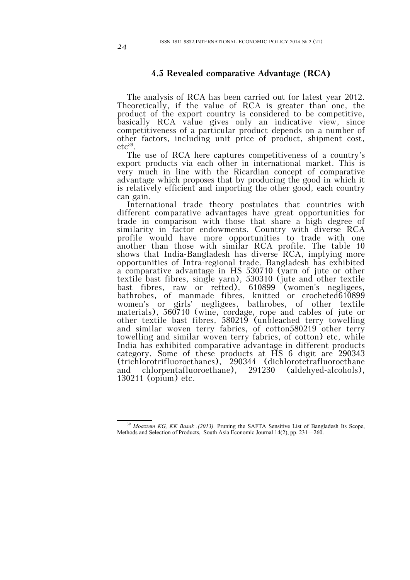# **4.5 Revealed comparative Advantage (RCA)**

The analysis of RCA has been carried out for latest year 2012. Theoretically, if the value of RCA is greater than one, the product of the export country is considered to be competitive, basically RCA value gives only an indicative view, since competitiveness of a particular product depends on a number of other factors, including unit price of product, shipment cost,  $etc<sup>39</sup>$ .

The use of RCA here captures competitiveness of a country's export products via each other in international market. This is very much in line with the Ricardian concept of comparative advantage which proposes that by producing the good in which it is relatively efficient and importing the other good, each country can gain.

International trade theory postulates that countries with different comparative advantages have great opportunities for trade in comparison with those that share a high degree of similarity in factor endowments. Country with diverse RCA profile would have more opportunities to trade with one another than those with similar RCA profile. The table 10 shows that India-Bangladesh has diverse RCA, implying more opportunities of Intra-regional trade. Bangladesh has exhibited a comparative advantage in HS 530710 (yarn of jute or other textile bast fibres, single yarn), 530310 (jute and other textile bast fibres, raw or retted), 610899 (women's negligees, bathrobes, of manmade fibres, knitted or crocheted610899 women's or girls' negligees, bathrobes, of other textile materials), 560710 (wine, cordage, rope and cables of jute or other textile bast fibres, 580219 (unbleached terry towelling and similar woven terry fabrics, of cotton580219 other terry towelling and similar woven terry fabrics, of cotton) etc, while India has exhibited comparative advantage in different products category. Some of these products at HS 6 digit are 290343 (trichlorotrifluoroethanes), 290344 (dichlorotetrafluoroethane and chlorpentafluoroethane), 291230 (aldehyed-alcohols), 130211 (opium) etc.

 $\overline{a}$ <sup>39</sup> *Moazzem KG, KK Basak .(2013).* Pruning the SAFTA Sensitive List of Bangladesh Its Scope, Methods and Selection of Products, South Asia Economic Journal 14(2), pp. 231—260.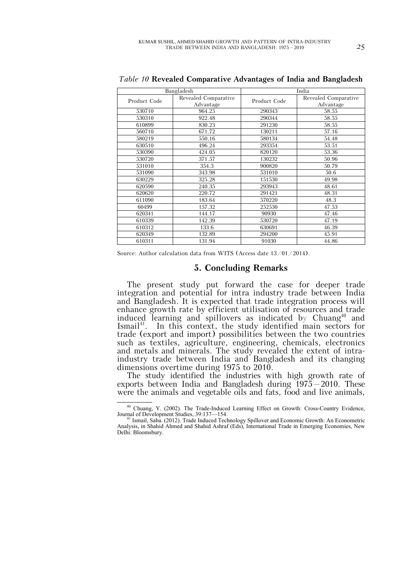|              | Bangladesh                        | India        |                                   |  |  |
|--------------|-----------------------------------|--------------|-----------------------------------|--|--|
| Product Code | Revealed Comparative<br>Advantage | Product Code | Revealed Comparative<br>Advantage |  |  |
| 530710       | 964.25                            | 290343       | 58.55                             |  |  |
| 530310       | 922.48                            | 290344       | 58.55                             |  |  |
| 610899       | 830.23                            | 291230       | 58.55                             |  |  |
| 560710       | 671.72                            | 130211       | 57.16                             |  |  |
| 580219       | 550.16                            | 580134       | 54.48                             |  |  |
| 630510       | 496.24                            | 293354       | 53.51                             |  |  |
| 530390       | 424.05                            | 820120       | 53.36                             |  |  |
| 530720       | 371.57                            | 130232       | 50.96                             |  |  |
| 531010       | 354.3                             | 900820       | 50.79                             |  |  |
| 531090       | 343.98                            | 531010       | 50.6                              |  |  |
| 630229       | 325.28                            | 151530       | 49.98                             |  |  |
| 620590       | 240.35                            | 293943       | 48.61                             |  |  |
| 620620       | 220.72                            | 291421       | 48.31                             |  |  |
| 611090       | 183.64                            | 570220       | 48.3                              |  |  |
| 60499        | 157.32                            | 252530       | 47.53                             |  |  |
| 620341       | 144.17                            | 90930        | 47.46                             |  |  |
| 610339       | 142.39                            | 530720       | 47.19                             |  |  |
| 610312       | 133.6                             | 630691       | 46.39                             |  |  |
| 620349       | 132.89                            | 294200       | 45.91                             |  |  |
| 610311       | 131.94                            | 91030        | 44.86                             |  |  |

*Table 10* **Revealed Comparative Advantages of India and Bangladesh**

Source: Author calculation data from WITS (Access date 13/01/2014).

#### **5. Concluding Remarks**

The present study put forward the case for deeper trade integration and potential for intra industry trade between India and Bangladesh. It is expected that trade integration process will enhance growth rate by efficient utilisation of resources and trade induced learning and spillovers as indicated by Chuang<sup>40</sup> and Ismail<sup>41</sup>. In this context, the study identified main sectors for trade (export and import) possibilities between the two countries such as textiles, agriculture, engineering, chemicals, electronics and metals and minerals. The study revealed the extent of intraindustry trade between India and Bangladesh and its changing dimensions overtime during 1975 to 2010.

The study identified the industries with high growth rate of exports between India and Bangladesh during  $1975-2010$ . These were the animals and vegetable oils and fats, food and live animals,

<sup>&</sup>lt;sup>40</sup> Chuang, Y. (2002). The Trade-Induced Learning Effect on Growth: Cross-Country Evidence, Journal of Development Studies, 39:137—154.

<sup>41</sup> Ismail, Saba. (2012). Trade Induced Technology Spillover and Economic Growth: An Econometric Analysis, in Shahid Ahmed and Shahid Ashraf (Eds), International Trade in Emerging Economies, New Delhi: Bloomsbury.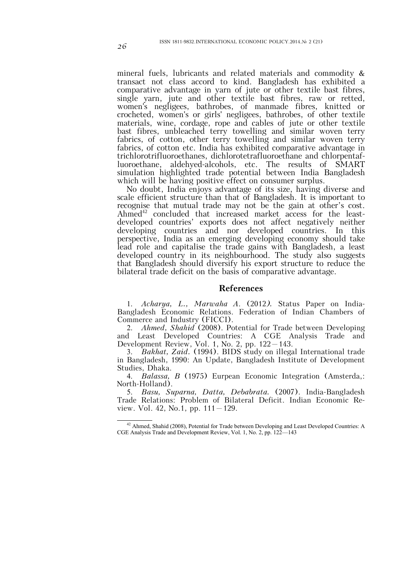mineral fuels, lubricants and related materials and commodity & transact not class accord to kind. Bangladesh has exhibited a comparative advantage in yarn of jute or other textile bast fibres, single yarn, jute and other textile bast fibres, raw or retted, women's negligees, bathrobes, of manmade fibres, knitted or crocheted, women's or girls' negligees, bathrobes, of other textile materials, wine, cordage, rope and cables of jute or other textile bast fibres, unbleached terry towelling and similar woven terry fabrics, of cotton, other terry towelling and similar woven terry fabrics, of cotton etc. India has exhibited comparative advantage in trichlorotrifluoroethanes, dichlorotetrafluoroethane and chlorpentaf-<br>luoroethane. aldehyed-alcohols. etc. The results of SMART aldehyed-alcohols, etc. The results of SMART simulation highlighted trade potential between India Bangladesh which will be having positive effect on consumer surplus.

No doubt, India enjoys advantage of its size, having diverse and scale efficient structure than that of Bangladesh. It is important to recognise that mutual trade may not be the gain at other's cost. Ahmed $42$  concluded that increased market access for the leastdeveloped countries' exports does not affect negatively neither developing countries and nor developed countries. In this perspective, India as an emerging developing economy should take lead role and capitalise the trade gains with Bangladesh, a least developed country in its neighbourhood. The study also suggests that Bangladesh should diversify his export structure to reduce the bilateral trade deficit on the basis of comparative advantage.

#### **References**

1. *Acharya, L., Marwaha A*. (2012*).* Status Paper on India-Bangladesh Economic Relations. Federation of Indian Chambers of Commerce and Industry (FICCI).

2. *Ahmed, Shahid* (2008). Potential for Trade between Developing and Least Developed Countries: A CGE Analysis Trade and Development Review, Vol. 1, No. 2, pp. 122–143.

3. *Bakhat, Zaid.* (1994). BIDS study on illegal International trade in Bangladesh, 1990: An Update, Bangladesh Institute of Development Studies, Dhaka.

4. *Balassa, B* (1975) Eurpean Economic Integration (Amsterda,: North-Holland).

5. *Basu, Suparna, Datta, Debabrata.* (2007). India-Bangladesh Trade Relations: Problem of Bilateral Deficit. Indian Economic Review. Vol. 42, No.1, pp.  $111 - 129$ .

 $\overline{a}$ <sup>42</sup> Ahmed, Shahid (2008), Potential for Trade between Developing and Least Developed Countries: A CGE Analysis Trade and Development Review, Vol. 1, No. 2, pp. 122—143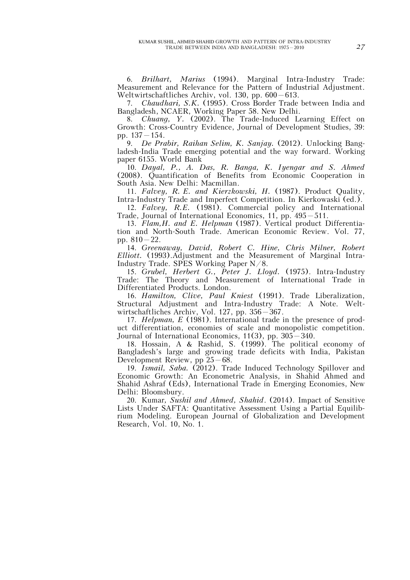6. *Brilhart, Marius* (1994). Marginal Intra-Industry Trade: Measurement and Relevance for the Pattern of Industrial Adjustment. Weltwirtschaftliches Archiv, vol. 130, pp. 600–613.

7. *Chaudhari, S.K.* (1995). Cross Border Trade between India and Bangladesh, NCAER, Working Paper 58. New Delhi.

8. *Chuang, Y.* (2002). The Trade-Induced Learning Effect on Growth: Cross-Country Evidence, Journal of Development Studies, 39: pp. 137–154.

9. *De Prabir, Raihan Selim, K. Sanjay.* (2012). Unlocking Bangladesh-India Trade emerging potential and the way forward. Working paper 6155. World Bank

10. *Dayal, P., A. Das, R. Banga, K. Iyengar and S. Ahmed* (2008). Quantification of Benefits from Economic Cooperation in South Asia. New Delhi: Macmillan.

11. *Falvey, R. E. and Kierzkowski, H.* (1987). Product Quality, Intra-Industry Trade and Imperfect Competition. In Kierkowaski (ed.).

12. *Falvey, R.E.* (1981). Commercial policy and International Trade, Journal of International Economics, 11, pp. 495–511.

13. *Flam,H. and E. Helpman* (1987). Vertical product Differentiation and North-South Trade. American Economic Review. Vol. 77, pp. 810–22.

14. *Greenaway, David, Robert C. Hine, Chris Milner, Robert Elliott.* (1993).Adjustment and the Measurement of Marginal Intra-Industry Trade. SPES Working Paper N/8.

15. *Grubel, Herbert G., Peter J. Lloyd.* (1975). Intra-Industry Trade: The Theory and Measurement of International Trade in Differentiated Products. London.

16. *Hamilton, Clive, Paul Kniest* (1991). Trade Liberalization, Structural Adjustment and Intra-Industry Trade: A Note. Weltwirtschaftliches Archiv, Vol. 127, pp. 356–367.

17. *Helpman, E* (1981). International trade in the presence of product differentiation, economies of scale and monopolistic competition. Journal of International Economics, 11(3), pp. 305–340.

18. Hossain, A & Rashid, S. (1999). The political economy of Bangladesh's large and growing trade deficits with India, Pakistan Development Review, pp 25–68.

19. *Ismail, Saba.* (2012). Trade Induced Technology Spillover and Economic Growth: An Econometric Analysis, in Shahid Ahmed and Shahid Ashraf (Eds), International Trade in Emerging Economies, New Delhi: Bloomsbury.

20. Kumar*, Sushil and Ahmed, Shahid*. (2014). Impact of Sensitive Lists Under SAFTA: Quantitative Assessment Using a Partial Equilibrium Modeling. European Journal of Globalization and Development Research, Vol. 10, No. 1.